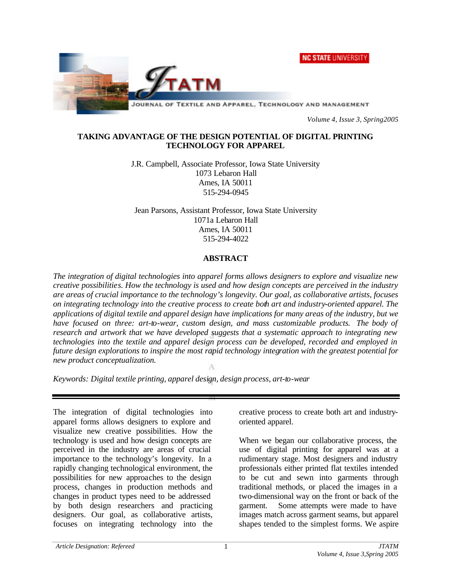**NC STATE UNIVERSITY** 



*Volume 4, Issue 3, Spring2005*

### **TAKING ADVANTAGE OF THE DESIGN POTENTIAL OF DIGITAL PRINTING TECHNOLOGY FOR APPAREL**

J.R. Campbell, Associate Professor, Iowa State University 1073 Lebaron Hall Ames, IA 50011 515-294-0945

Jean Parsons, Assistant Professor, Iowa State University 1071a Lebaron Hall Ames, IA 50011 515-294-4022

# **ABSTRACT**

*The integration of digital technologies into apparel forms allows designers to explore and visualize new creative possibilities. How the technology is used and how design concepts are perceived in the industry are areas of crucial importance to the technology's longevity. Our goal, as collaborative artists, focuses on integrating technology into the creative process to create both art and industry-oriented apparel. The applications of digital textile and apparel design have implications for many areas of the industry, but we*  have focused on three: art-to-wear, custom design, and mass customizable products. The body of *research and artwork that we have developed suggests that a systematic approach to integrating new technologies into the textile and apparel design process can be developed, recorded and employed in future design explorations to inspire the most rapid technology integration with the greatest potential for new product conceptualization.*

*Keywords: Digital textile printing, apparel design, design process, art-to-wear*

The integration of digital technologies into apparel forms allows designers to explore and visualize new creative possibilities. How the technology is used and how design concepts are perceived in the industry are areas of crucial importance to the technology's longevity. In a rapidly changing technological environment, the possibilities for new approaches to the design process, changes in production methods and changes in product types need to be addressed by both design researchers and practicing designers. Our goal, as collaborative artists, focuses on integrating technology into the

creative process to create both art and industryoriented apparel.

When we began our collaborative process, the use of digital printing for apparel was at a rudimentary stage. Most designers and industry professionals either printed flat textiles intended to be cut and sewn into garments through traditional methods, or placed the images in a two-dimensional way on the front or back of the garment. Some attempts were made to have images match across garment seams, but apparel shapes tended to the simplest forms. We aspire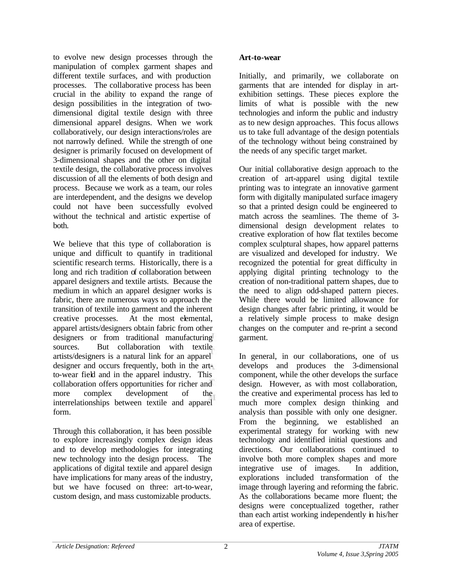to evolve new design processes through the manipulation of complex garment shapes and different textile surfaces, and with production processes. The collaborative process has been crucial in the ability to expand the range of design possibilities in the integration of twodimensional digital textile design with three dimensional apparel designs. When we work collaboratively, our design interactions/roles are not narrowly defined. While the strength of one designer is primarily focused on development of 3-dimensional shapes and the other on digital textile design, the collaborative process involves discussion of all the elements of both design and process. Because we work as a team, our roles are interdependent, and the designs we develop could not have been successfully evolved without the technical and artistic expertise of both.

We believe that this type of collaboration is unique and difficult to quantify in traditional scientific research terms. Historically, there is a long and rich tradition of collaboration between apparel designers and textile artists. Because the medium in which an apparel designer works is fabric, there are numerous ways to approach the transition of textile into garment and the inherent creative processes. At the most elemental, apparel artists/designers obtain fabric from other designers or from traditional manufacturing sources. But collaboration with textile artists/designers is a natural link for an apparel designer and occurs frequently, both in the artto-wear field and in the apparel industry. This collaboration offers opportunities for richer and more complex development of the interrelationships between textile and apparel form.

Through this collaboration, it has been possible to explore increasingly complex design ideas and to develop methodologies for integrating new technology into the design process. The applications of digital textile and apparel design have implications for many areas of the industry, but we have focused on three: art-to-wear, custom design, and mass customizable products.

### **Art-to-wear**

Initially, and primarily, we collaborate on garments that are intended for display in artexhibition settings. These pieces explore the limits of what is possible with the new technologies and inform the public and industry as to new design approaches. This focus allows us to take full advantage of the design potentials of the technology without being constrained by the needs of any specific target market.

Our initial collaborative design approach to the creation of art-apparel using digital textile printing was to integrate an innovative garment form with digitally manipulated surface imagery so that a printed design could be engineered to match across the seamlines. The theme of 3 dimensional design development relates to creative exploration of how flat textiles become complex sculptural shapes, how apparel patterns are visualized and developed for industry. We recognized the potential for great difficulty in applying digital printing technology to the creation of non-traditional pattern shapes, due to the need to align odd-shaped pattern pieces. While there would be limited allowance for design changes after fabric printing, it would be a relatively simple process to make design changes on the computer and re-print a second garment.

In general, in our collaborations, one of us develops and produces the 3-dimensional component, while the other develops the surface design. However, as with most collaboration, the creative and experimental process has led to much more complex design thinking and analysis than possible with only one designer. From the beginning, we established an experimental strategy for working with new technology and identified initial questions and directions. Our collaborations continued to involve both more complex shapes and more integrative use of images. In addition, explorations included transformation of the image through layering and reforming the fabric. As the collaborations became more fluent; the designs were conceptualized together, rather than each artist working independently in his/her area of expertise.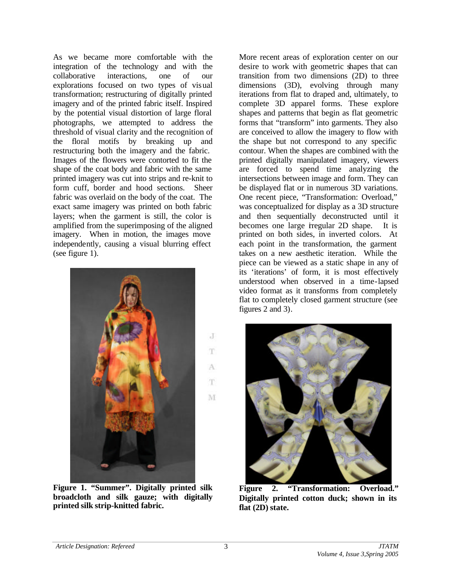As we became more comfortable with the integration of the technology and with the collaborative interactions, one of our explorations focused on two types of visual transformation; restructuring of digitally printed imagery and of the printed fabric itself. Inspired by the potential visual distortion of large floral photographs, we attempted to address the threshold of visual clarity and the recognition of the floral motifs by breaking up and restructuring both the imagery and the fabric. Images of the flowers were contorted to fit the shape of the coat body and fabric with the same printed imagery was cut into strips and re-knit to form cuff, border and hood sections. Sheer fabric was overlaid on the body of the coat. The exact same imagery was printed on both fabric layers; when the garment is still, the color is amplified from the superimposing of the aligned imagery. When in motion, the images move independently, causing a visual blurring effect (see figure 1).



**Figure 1. "Summer". Digitally printed silk broadcloth and silk gauze; with digitally printed silk strip-knitted fabric.**

More recent areas of exploration center on our desire to work with geometric shapes that can transition from two dimensions (2D) to three dimensions (3D), evolving through many iterations from flat to draped and, ultimately, to complete 3D apparel forms. These explore shapes and patterns that begin as flat geometric forms that "transform" into garments. They also are conceived to allow the imagery to flow with the shape but not correspond to any specific contour. When the shapes are combined with the printed digitally manipulated imagery, viewers are forced to spend time analyzing the intersections between image and form. They can be displayed flat or in numerous 3D variations. One recent piece, "Transformation: Overload," was conceptualized for display as a 3D structure and then sequentially deconstructed until it becomes one large irregular 2D shape. It is printed on both sides, in inverted colors. At each point in the transformation, the garment takes on a new aesthetic iteration. While the piece can be viewed as a static shape in any of its 'iterations' of form, it is most effectively understood when observed in a time-lapsed video format as it transforms from completely flat to completely closed garment structure (see figures 2 and 3).



**Figure 2. "Transformation: Overload." Digitally printed cotton duck; shown in its flat (2D) state.**

J

T

A T.

M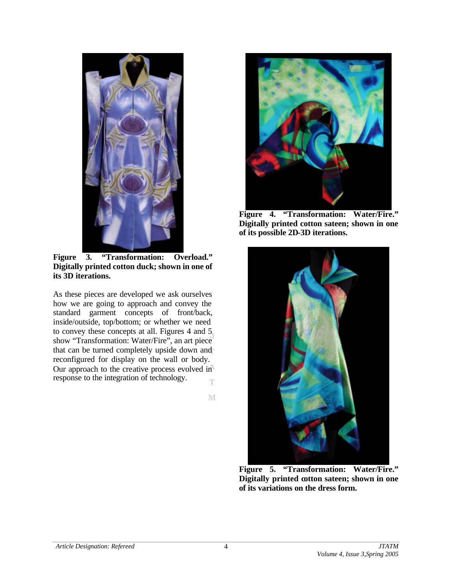

**Figure 3. "Transformation: Overload." Digitally printed cotton duck; shown in one of its 3D iterations.**

As these pieces are developed we ask ourselves how we are going to approach and convey the standard garment concepts of front/back, inside/outside, top/bottom; or whether we need to convey these concepts at all. Figures 4 and 5 show "Transformation: Water/Fire", an art piece that can be turned completely upside down and reconfigured for display on the wall or body. Our approach to the creative process evolved in response to the integration of technology. T.

 $M$ 



**Figure 4. "Transformation: Water/Fire." Digitally printed cotton sateen; shown in one of its possible 2D-3D iterations.**



**Figure 5. "Transformation: Water/Fire." Digitally printed cotton sateen; shown in one of its variations on the dress form.**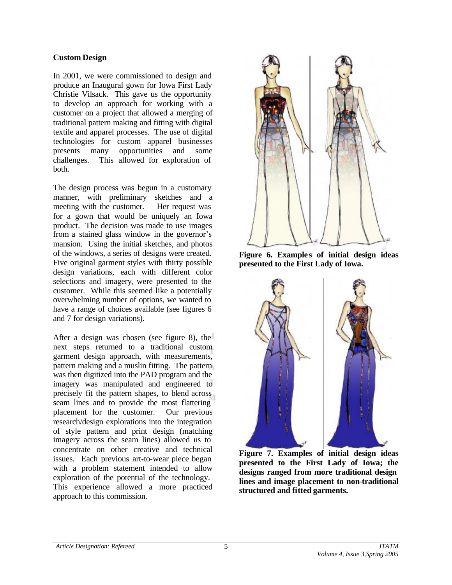#### **Custom Design**

In 2001, we were commissioned to design and produce an Inaugural gown for Iowa First Lady Christie Vilsack. This gave us the opportunity to develop an approach for working with a customer on a project that allowed a merging of traditional pattern making and fitting with digital textile and apparel processes. The use of digital technologies for custom apparel businesses presents many opportunities and some challenges. This allowed for exploration of both.

The design process was begun in a customary manner, with preliminary sketches and a meeting with the customer. Her request was for a gown that would be uniquely an Iowa product. The decision was made to use images from a stained glass window in the governor's mansion. Using the initial sketches, and photos of the windows, a series of designs were created. Five original garment styles with thirty possible design variations, each with different color selections and imagery, were presented to the customer. While this seemed like a potentially overwhelming number of options, we wanted to have a range of choices available (see figures 6 and 7 for design variations).

After a design was chosen (see figure 8), the next steps returned to a traditional custom garment design approach, with measurements, pattern making and a muslin fitting. The pattern was then digitized into the PAD program and the imagery was manipulated and engineered to precisely fit the pattern shapes, to blend across seam lines and to provide the most flattering placement for the customer. Our previous research/design explorations into the integration of style pattern and print design (matching imagery across the seam lines) allowed us to concentrate on other creative and technical issues. Each previous art-to-wear piece began with a problem statement intended to allow exploration of the potential of the technology. This experience allowed a more practiced approach to this commission.



**Figure 6. Example s of initial design ideas presented to the First Lady of Iowa.**



**Figure 7. Examples of initial design ideas presented to the First Lady of Iowa; the designs ranged from more traditional design lines and image placement to non-traditional structured and fitted garments.**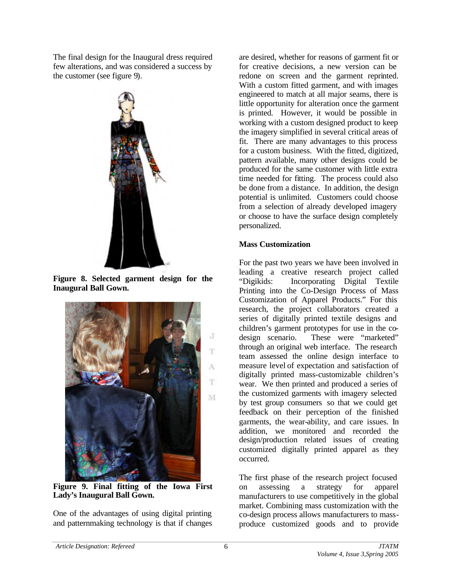The final design for the Inaugural dress required few alterations, and was considered a success by the customer (see figure 9).



**Figure 8. Selected garment design for the Inaugural Ball Gown.** 



**Figure 9. Final fitting of the Iowa First Lady's Inaugural Ball Gown.**

One of the advantages of using digital printing and patternmaking technology is that if changes

are desired, whether for reasons of garment fit or for creative decisions, a new version can be redone on screen and the garment reprinted. With a custom fitted garment, and with images engineered to match at all major seams, there is little opportunity for alteration once the garment is printed. However, it would be possible in working with a custom designed product to keep the imagery simplified in several critical areas of fit. There are many advantages to this process for a custom business. With the fitted, digitized, pattern available, many other designs could be produced for the same customer with little extra time needed for fitting. The process could also be done from a distance. In addition, the design potential is unlimited. Customers could choose from a selection of already developed imagery or choose to have the surface design completely personalized.

# **Mass Customization**

For the past two years we have been involved in leading a creative research project called "Digikids: Incorporating Digital Textile Printing into the Co-Design Process of Mass Customization of Apparel Products." For this research, the project collaborators created a series of digitally printed textile designs and children's garment prototypes for use in the codesign scenario. These were "marketed" through an original web interface. The research team assessed the online design interface to measure level of expectation and satisfaction of digitally printed mass-customizable children's wear. We then printed and produced a series of the customized garments with imagery selected by test group consumers so that we could get feedback on their perception of the finished garments, the wear-ability, and care issues. In addition, we monitored and recorded the design/production related issues of creating customized digitally printed apparel as they occurred.

The first phase of the research project focused on assessing a strategy for apparel manufacturers to use competitively in the global market. Combining mass customization with the co-design process allows manufacturers to massproduce customized goods and to provide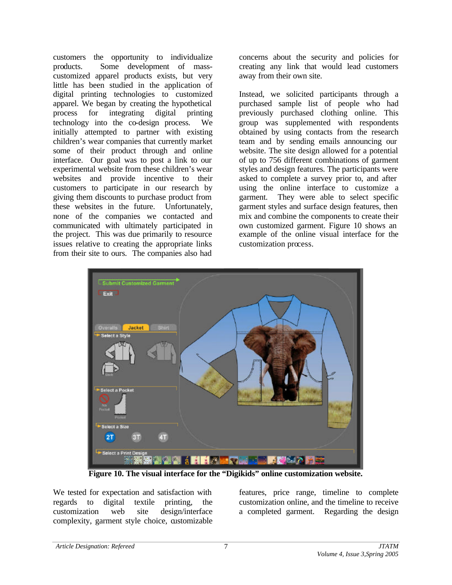customers the opportunity to individualize products. Some development of masscustomized apparel products exists, but very little has been studied in the application of digital printing technologies to customized apparel. We began by creating the hypothetical process for integrating digital printing technology into the co-design process. We initially attempted to partner with existing children's wear companies that currently market some of their product through and online interface. Our goal was to post a link to our experimental website from these children's wear websites and provide incentive to their customers to participate in our research by giving them discounts to purchase product from these websites in the future. Unfortunately, none of the companies we contacted and communicated with ultimately participated in the project. This was due primarily to resource issues relative to creating the appropriate links from their site to ours. The companies also had

concerns about the security and policies for creating any link that would lead customers away from their own site.

Instead, we solicited participants through a purchased sample list of people who had previously purchased clothing online. This group was supplemented with respondents obtained by using contacts from the research team and by sending emails announcing our website. The site design allowed for a potential of up to 756 different combinations of garment styles and design features. The participants were asked to complete a survey prior to, and after using the online interface to customize a garment. They were able to select specific garment styles and surface design features, then mix and combine the components to create their own customized garment. Figure 10 shows an example of the online visual interface for the customization process.



**Figure 10. The visual interface for the "Digikids" online customization website.**

We tested for expectation and satisfaction with regards to digital textile printing, the customization web site design/interface complexity, garment style choice, customizable features, price range, timeline to complete customization online, and the timeline to receive a completed garment. Regarding the design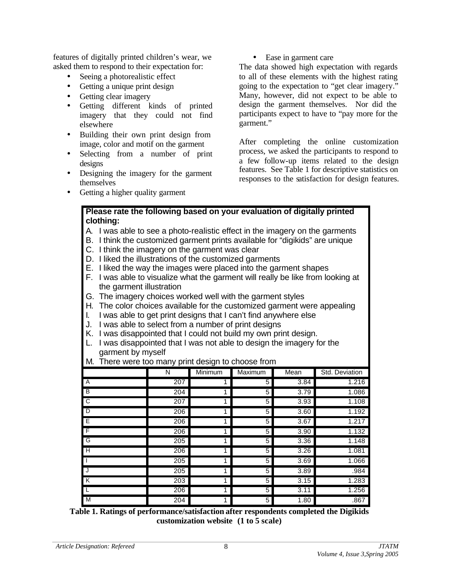features of digitally printed children's wear, we asked them to respond to their expectation for:

- Seeing a photorealistic effect
- Getting a unique print design
- Getting clear imagery
- Getting different kinds of printed imagery that they could not find elsewhere
- Building their own print design from image, color and motif on the garment
- Selecting from a number of print designs
- Designing the imagery for the garment themselves

• Ease in garment care

The data showed high expectation with regards to all of these elements with the highest rating going to the expectation to "get clear imagery." Many, however, did not expect to be able to design the garment themselves. Nor did the participants expect to have to "pay more for the garment."

After completing the online customization process, we asked the participants to respond to a few follow-up items related to the design features. See Table 1 for descriptive statistics on responses to the satisfaction for design features.

• Getting a higher quality garment

# **Please rate the following based on your evaluation of digitally printed clothing:**

- A. I was able to see a photo-realistic effect in the imagery on the garments
- B. I think the customized garment prints available for "digikids" are unique
- C. I think the imagery on the garment was clear
- D. I liked the illustrations of the customized garments
- E. I liked the way the images were placed into the garment shapes
- F. I was able to visualize what the garment will really be like from looking at the garment illustration
- G. The imagery choices worked well with the garment styles
- H. The color choices available for the customized garment were appealing
- I. I was able to get print designs that I can't find anywhere else
- J. I was able to select from a number of print designs
- K. I was disappointed that I could not build my own print design.
- L. I was disappointed that I was not able to design the imagery for the garment by myself
- M. There were too many print design to choose from

| 7 F<br>־־               |     |                |         |      |                |
|-------------------------|-----|----------------|---------|------|----------------|
|                         | N   | <b>Minimum</b> | Maximum | Mean | Std. Deviation |
| $\overline{A}$          | 207 |                | 5       | 3.84 | 1.216          |
| B                       | 204 |                | 5       | 3.79 | 1.086          |
| ट                       | 207 |                | 5       | 3.93 | 1.108          |
| D                       | 206 |                | 5       | 3.60 | 1.192          |
| Έ                       | 206 |                | 5       | 3.67 | 1.217          |
| F                       | 206 |                | 5       | 3.90 | 1.132          |
| G                       | 205 |                | 5       | 3.36 | 1.148          |
| $\overline{H}$          | 206 |                | 5       | 3.26 | 1.081          |
|                         | 205 |                | 5       | 3.69 | 1.066          |
| J                       | 205 |                | 5       | 3.89 | .984           |
| $\overline{\mathsf{K}}$ | 203 |                | 5       | 3.15 | 1.283          |
| L                       | 206 |                | 5       | 3.11 | 1.256          |
| M                       | 204 | 1              | 5       | 1.80 | .867           |

**Table 1. Ratings of performance/satisfaction after respondents completed the Digikids customization website (1 to 5 scale)**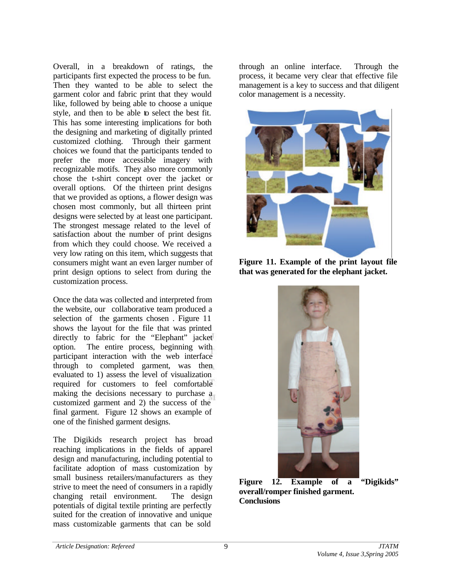Overall, in a breakdown of ratings, the participants first expected the process to be fun. Then they wanted to be able to select the garment color and fabric print that they would like, followed by being able to choose a unique style, and then to be able to select the best fit. This has some interesting implications for both the designing and marketing of digitally printed customized clothing. Through their garment choices we found that the participants tended to prefer the more accessible imagery with recognizable motifs. They also more commonly chose the t-shirt concept over the jacket or overall options. Of the thirteen print designs that we provided as options, a flower design was chosen most commonly, but all thirteen print designs were selected by at least one participant. The strongest message related to the level of satisfaction about the number of print designs from which they could choose. We received a very low rating on this item, which suggests that consumers might want an even larger number of print design options to select from during the customization process.

Once the data was collected and interpreted from the website, our collaborative team produced a selection of the garments chosen . Figure 11 shows the layout for the file that was printed directly to fabric for the "Elephant" jacket option. The entire process, beginning with participant interaction with the web interface through to completed garment, was then evaluated to 1) assess the level of visualization required for customers to feel comfortable making the decisions necessary to purchase a customized garment and 2) the success of the final garment. Figure 12 shows an example of one of the finished garment designs.

The Digikids research project has broad reaching implications in the fields of apparel design and manufacturing, including potential to facilitate adoption of mass customization by small business retailers/manufacturers as they strive to meet the need of consumers in a rapidly changing retail environment. The design potentials of digital textile printing are perfectly suited for the creation of innovative and unique mass customizable garments that can be sold

through an online interface. Through the process, it became very clear that effective file management is a key to success and that diligent color management is a necessity.



**Figure 11. Example of the print layout file that was generated for the elephant jacket.**



**Figure 12. Example of a "Digikids" overall/romper finished garment. Conclusions**